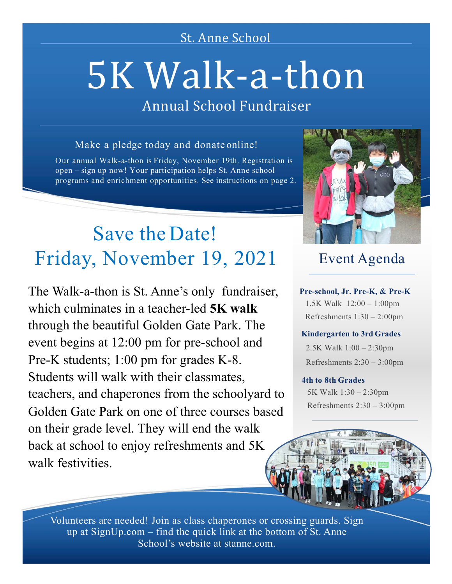### St. Anne School

# 5K Walk-a-thon

## Annual School Fundraiser

#### Make a pledge today and donate online!

Our annual Walk-a-thon is Friday, November 19th. Registration is open – sign up now! Your participation helps St. Anne school programs and enrichment opportunities. See instructions on page 2.

## Save the Date! Friday, November 19, 2021

The Walk-a-thon is St. Anne's only fundraiser, which culminates in a teacher-led **5K walk**  through the beautiful Golden Gate Park. The event begins at 12:00 pm for pre-school and Pre-K students; 1:00 pm for grades K-8. Students will walk with their classmates, teachers, and chaperones from the schoolyard to Golden Gate Park on one of three courses based on their grade level. They will end the walk back at school to enjoy refreshments and 5K walk festivities.



### Event Agenda

**Pre-school, Jr. Pre-K, & Pre-K** 1.5K Walk 12:00 – 1:00pm Refreshments 1:30 – 2:00pm

#### **Kindergarten to 3rd Grades**

2.5K Walk 1:00 – 2:30pm Refreshments 2:30 – 3:00pm

#### **4th to 8th Grades**

5K Walk 1:30 – 2:30pm Refreshments 2:30 – 3:00pm

Volunteers are needed! Join as class chaperones or crossing guards. Sign up at  $SignUp.com - find$  the quick link at the bottom of St. Anne School's website at stanne.com.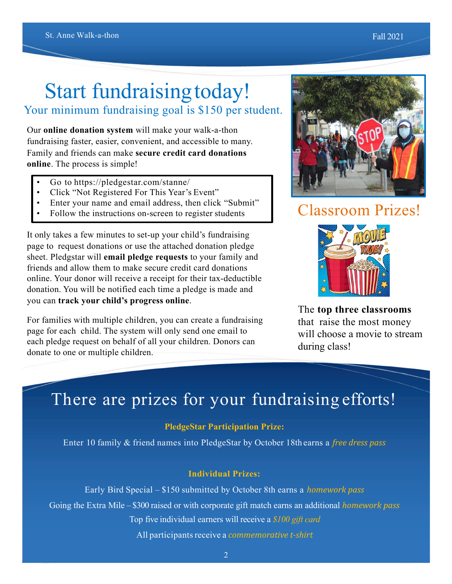## Start fundraising today!

#### Your minimum fundraising goal is \$150 per student.

Our **online donation system** will make your walk-a-thon fundraising faster, easier, convenient, and accessible to many. Family and friends can make **secure credit card donations online**. The process is simple!

- Go to https://pledgestar.com/stanne/
- Click "Not Registered For This Year's Event"
- Enter your name and email address, then click "Submit"
- Follow the instructions on-screen to register students

It only takes a few minutes to set-up your child's fundraising page to request donations or use the attached donation pledge sheet. Pledgstar will **email pledge requests** to your family and friends and allow them to make secure credit card donations online. Your donor will receive a receipt for their tax-deductible donation. You will be notified each time a pledge is made and you can **track your child's progress online**.

For families with multiple children, you can create a fundraising page for each child. The system will only send one email to each pledge request on behalf of all your children. Donors can donate to one or multiple children.



## Classroom Prizes!



The **top three classrooms** that raise the most money will choose a movie to stream during class!

## There are prizes for your fundraising efforts!

#### **PledgeStar Participation Prize:**

Enter 10 family & friend names into PledgeStar by October 18th earns a *free dress pass* 

#### **Individual Prizes:**

Early Bird Special – \$150 submitted by October 8th earns a *homework pass* Going the Extra Mile – \$300 raised or with corporate gift match earns an additional *homework pass* Top five individual earners will receive a *\$100 gift card* All participants receive a *commemorative t-shirt*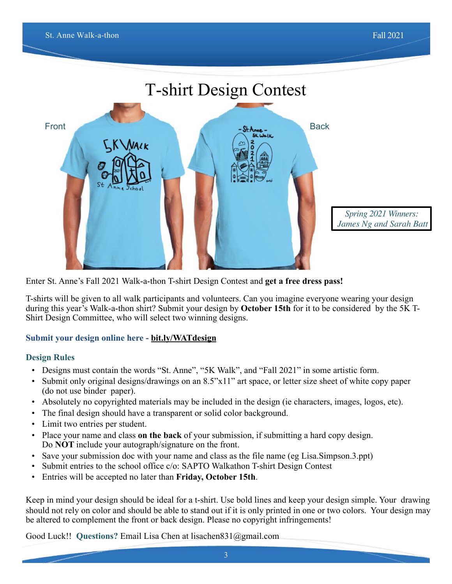

Enter St. Anne's Fall 2021 Walk-a-thon T-shirt Design Contest and **get a free dress pass!**

T-shirts will be given to all walk participants and volunteers. Can you imagine everyone wearing your design during this year's Walk-a-thon shirt? Submit your design by **October 15th** for it to be considered by the 5K T-Shirt Design Committee, who will select two winning designs.

#### **Submit your design online here - [bit.ly/WATdesign](http://bit.ly/WATdesign)**

#### **Design Rules**

- Designs must contain the words "St. Anne", "5K Walk", and "Fall 2021" in some artistic form.
- Submit only original designs/drawings on an 8.5"x11" art space, or letter size sheet of white copy paper (do not use binder paper).
- Absolutely no copyrighted materials may be included in the design (ie characters, images, logos, etc).
- The final design should have a transparent or solid color background.
- Limit two entries per student.
- Place your name and class **on the back** of your submission, if submitting a hard copy design. Do **NOT** include your autograph/signature on the front.
- Save your submission doc with your name and class as the file name (eg Lisa.Simpson.3.ppt)
- Submit entries to the school office c/o: SAPTO Walkathon T-shirt Design Contest
- Entries will be accepted no later than **Friday, October 15th**.

Keep in mind your design should be ideal for a t-shirt. Use bold lines and keep your design simple. Your drawing should not rely on color and should be able to stand out if it is only printed in one or two colors. Your design may be altered to complement the front or back design. Please no copyright infringements!

Good Luck!! **Questions?** Email Lisa Chen at lisachen831@gmail.com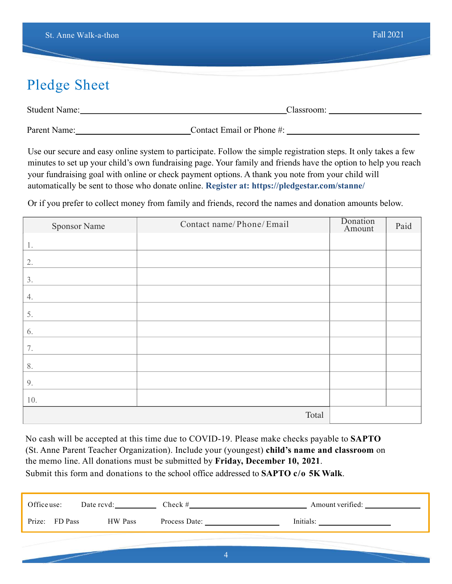## Pledge Sheet

| Studen<br>$\sim$ |  |
|------------------|--|
|                  |  |

Parent Name: Contact Email or Phone #:

Use our secure and easy online system to participate. Follow the simple registration steps. It only takes a few minutes to set up your child's own fundraising page. Your family and friends have the option to help you reach your fundraising goal with online or check payment options. A thank you note from your child will automatically be sent to those who donate online. **Register at: https://pledgestar.com/stanne/**

Or if you prefer to collect money from family and friends, record the names and donation amounts below.

| <b>Sponsor Name</b> | Contact name/Phone/Email | Donation<br>Amount | Paid |
|---------------------|--------------------------|--------------------|------|
| 1.                  |                          |                    |      |
| 2.                  |                          |                    |      |
| 3.                  |                          |                    |      |
| 4.                  |                          |                    |      |
| 5.                  |                          |                    |      |
| 6.                  |                          |                    |      |
| 7.                  |                          |                    |      |
| 8.                  |                          |                    |      |
| 9.                  |                          |                    |      |
| 10.                 |                          |                    |      |
|                     | Total                    |                    |      |

No cash will be accepted at this time due to COVID-19. Please make checks payable to **SAPTO**  (St. Anne Parent Teacher Organization). Include your (youngest) **child's name and classroom** on the memo line. All donations must be submitted by **Friday, December 10, 2021**. Submit this form and donations to the school office addressed to **SAPTO c/o 5K Walk**.

| Office use:    | Date rcvd: | Check $#$     | Amount verified: |
|----------------|------------|---------------|------------------|
| Prize: FD Pass | HW Pass    | Process Date: | Initials:        |
|                |            |               |                  |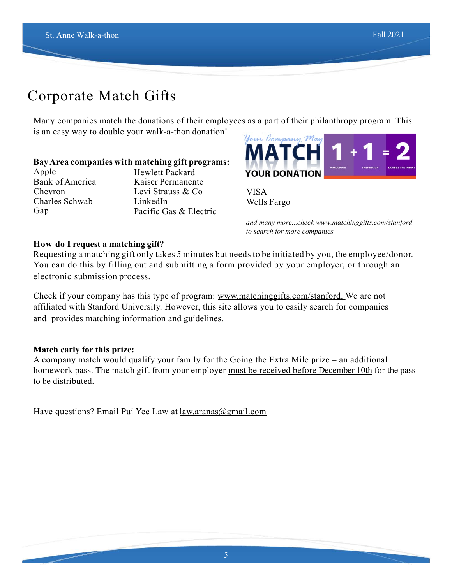## Corporate Match Gifts

Many companies match the donations of their employees as a part of their philanthropy program. This is an easy way to double your walk-a-thon donation!

#### **BayArea companies with matching gift programs:**

Apple Bank of America Chevron Charles Schwab Gap

Hewlett Packard Kaiser Permanente Levi Strauss & Co LinkedIn Pacific Gas & Electric



VISA Wells Fargo

*and many more...check [www.matchinggifts.com/stanford](http://www.matchinggifts.com/stanford)  to search for more companies.*

#### **How do I request a matching gift?**

Requesting a matching gift only takes 5 minutes but needs to be initiated by you, the employee/donor. You can do this by filling out and submitting a form provided by your employer, or through an electronic submission process.

Check if your company has this type of program: [www.matchinggifts.com/stanford.](http://www.matchinggifts.com/stanford) We are not affiliated with Stanford University. However, this site allows you to easily search for companies and provides matching information and guidelines.

#### **Match early for this prize:**

A company match would qualify your family for the Going the Extra Mile prize – an additional homework pass. The match gift from your employer must be received before December 10th for the pass to be distributed.

Have questions? Email Pui Yee Law at [law.aranas@gmail.com](mailto:law.aranas@gmail.com)